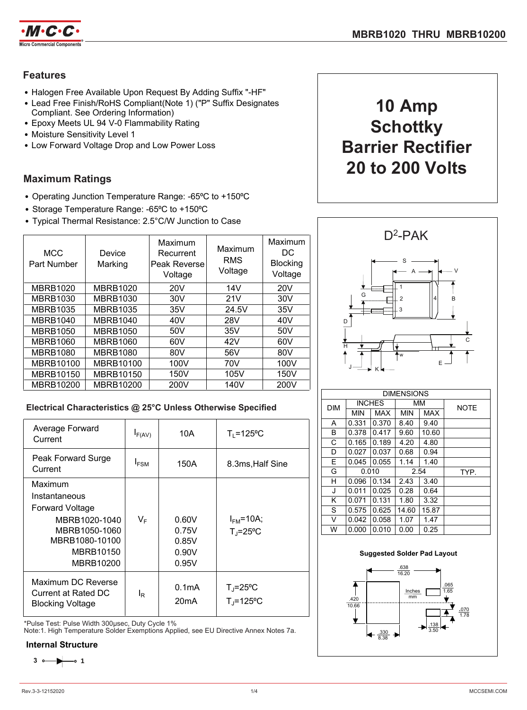

# **Features**

- Halogen Free Available Upon Request By Adding Suffix "-HF"
- Lead Free Finish/RoHS Compliant(Note 1) ("P" Suffix Designates Compliant. See Ordering Information)
- Epoxy Meets UL 94 V-0 Flammability Rating
- Moisture Sensitivity Level 1
- Low Forward Voltage Drop and Low Power Loss

# **Maximum Ratings**

- Operating Junction Temperature Range: -65°C to +150°C
- Storage Temperature Range: -65°C to +150°C
- Typical Thermal Resistance: 2.5°C/W Junction to Case

| <b>MCC</b><br>Part Number | Device<br>Marking | Maximum<br>Recurrent<br>Peak Reverse<br>Voltage | Maximum<br><b>RMS</b><br>Voltage | Maximum<br>DC.<br><b>Blocking</b><br>Voltage |
|---------------------------|-------------------|-------------------------------------------------|----------------------------------|----------------------------------------------|
| MBRB1020                  | MBRB1020          | 20 <sub>V</sub>                                 | 14V                              | 20 <sub>V</sub>                              |
| <b>MBRB1030</b>           | <b>MBRB1030</b>   | 30V                                             | 21V                              | 30V                                          |
| <b>MBRB1035</b>           | <b>MBRB1035</b>   | 35V                                             | 24.5V                            | 35V                                          |
| MBRB1040                  | MBRB1040          | 40V                                             | 28V                              | 40V                                          |
| <b>MBRB1050</b>           | <b>MBRB1050</b>   | 50V                                             | 35V                              | 50V                                          |
| MBRB1060                  | MBRB1060          | 60V                                             | 42V                              | 60V                                          |
| <b>MBRB1080</b>           | <b>MBRB1080</b>   | 80V                                             | 56V                              | 80V                                          |
| MBRB10100                 | MBRB10100         | 100V                                            | 70V                              | 100V                                         |
| <b>MBRB10150</b>          | MBRB10150         | 150V                                            | 105V                             | 150V                                         |
| MBRB10200                 | MBRB10200         | 200V                                            | 140V                             | 200V                                         |

## **Electrical Characteristics @ 25°C Unless Otherwise Specified**

| Average Forward<br>Current    | $I_{F(AV)}$    | 10A                | $T_1 = 125$ °C      |
|-------------------------------|----------------|--------------------|---------------------|
| Peak Forward Surge<br>Current | $I_{FSM}$      | 150A               | 8.3ms, Half Sine    |
| Maximum                       |                |                    |                     |
| Instantaneous                 |                |                    |                     |
| <b>Forward Voltage</b>        |                |                    |                     |
| MBRB1020-1040                 | $V_F$          | 0.60V              | $I_{FM}$ =10A;      |
| MBRB1050-1060                 |                | 0.75V              | $T_i = 25^{\circ}C$ |
| MBRB1080-10100                |                | 0.85V              |                     |
| MBRB10150                     |                | 0.90V              |                     |
| MBRB10200                     |                | 0.95V              |                     |
| Maximum DC Reverse            |                |                    |                     |
| Current at Rated DC           | l <sub>R</sub> | 0.1 <sub>m</sub> A | $T_{\rm J}$ =25°C   |
| <b>Blocking Voltage</b>       |                | 20 <sub>m</sub> A  | $T_i = 125$ °C      |
|                               |                |                    |                     |

\*Pulse Test: Pulse Width 300µsec, Duty Cycle 1%

Note:1. High Temperature Solder Exemptions Applied, see EU Directive Annex Notes 7a.

#### **Internal Structure**

 $3 \circ$   $\rightarrow$   $\bullet$  1

# **10 Amp Schottky Barrier Rectifier 20 to 200 Volts**



| <b>DIMENSIONS</b> |               |            |            |       |             |
|-------------------|---------------|------------|------------|-------|-------------|
| <b>DIM</b>        | <b>INCHES</b> |            | мм         |       | <b>NOTE</b> |
|                   | <b>MIN</b>    | <b>MAX</b> | <b>MIN</b> | MAX   |             |
| A                 | 0.331         | 0.370      | 8.40       | 9.40  |             |
| в                 | 0.378         | 0.417      | 9.60       | 10.60 |             |
| C                 | 0.165         | 0.189      | 4.20       | 4.80  |             |
| D                 | 0.027         | 0.037      | 0.68       | 0.94  |             |
| E                 | 0.045         | 0.055      | 1.14       | 1.40  |             |
| G                 | 0.010         |            | 2.54       |       | TYP.        |
| н                 | 0.096         | 0.134      | 2.43       | 3.40  |             |
| J                 | 0.011         | 0.025      | 0.28       | 0.64  |             |
| K                 | 0.071         | 0.131      | 1.80       | 3.32  |             |
| S                 | 0.575         | 0.625      | 14.60      | 15.87 |             |
| v                 | 0.042         | 0.058      | 1.07       | 1.47  |             |
| W                 | 0.000         | 0.010      | 0.00       | 0.25  |             |

#### **Suggested Solder Pad Layout**

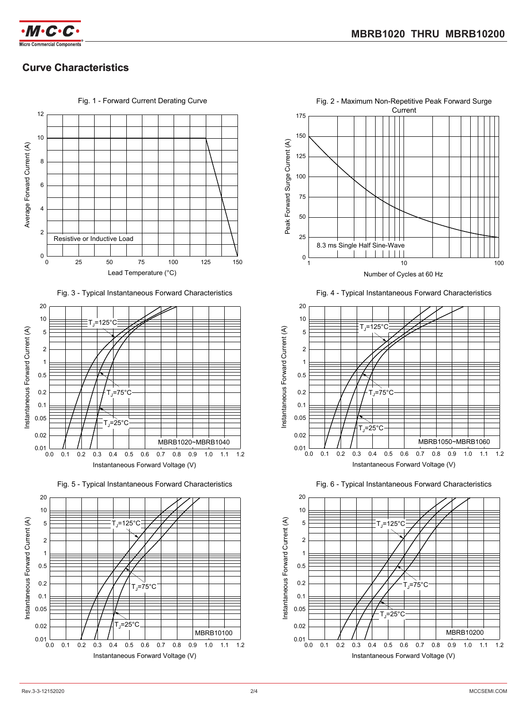

# **Curve Characteristics**











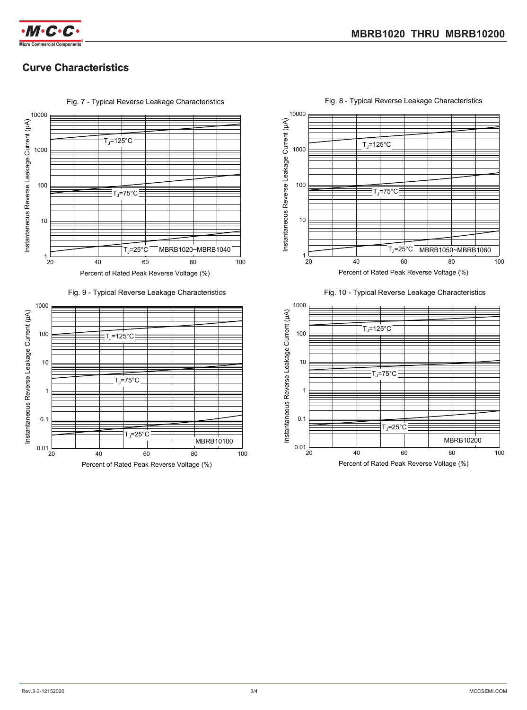



Fig. 7 - Typical Reverse Leakage Characteristics









Fig. 8 - Typical Reverse Leakage Characteristics